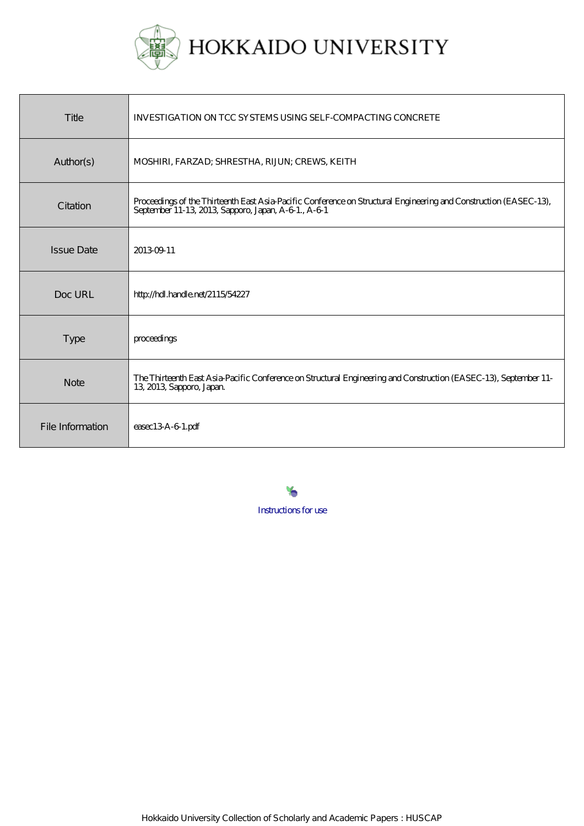

| Title             | INVESTIGATION ON TCC SYSTEMS USING SELF-COMPACTING CONCRETE                                                                                                             |
|-------------------|-------------------------------------------------------------------------------------------------------------------------------------------------------------------------|
| Author(s)         | MOSHIRI, FARZAD; SHRESTHA, RIJUN; CREWS, KEITH                                                                                                                          |
| Citation          | Proceedings of the Thirteenth East Asia-Pacific Conference on Structural Engineering and Construction (EASEC-13),<br>September 11-13, 2013, Sapporo, Japan, A-61., A-61 |
| <b>Issue Date</b> | 201309-11                                                                                                                                                               |
| Doc URL           | http://hdl.handle.net/2115/54227                                                                                                                                        |
| <b>Type</b>       | proceedings                                                                                                                                                             |
| <b>Note</b>       | The Thirteenth East Asia-Pacific Conference on Structural Engineering and Construction (EASEC-13), September 11-<br>13, 2013, Sapporo, Japan.                           |
| File Information  | $\epsilon$ asec $13A-61$ .pdf                                                                                                                                           |

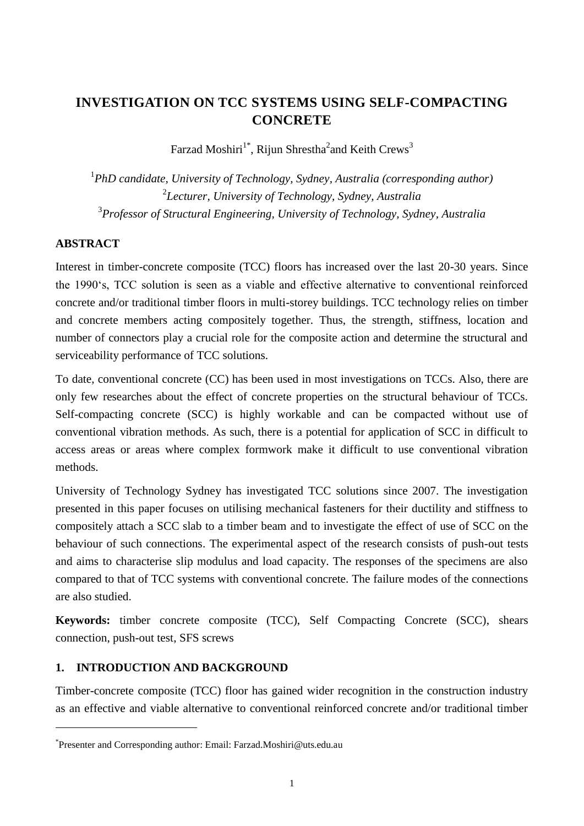# **INVESTIGATION ON TCC SYSTEMS USING SELF-COMPACTING CONCRETE**

Farzad Moshiri<sup>1\*</sup>, Rijun Shrestha<sup>2</sup>and Keith Crews<sup>3</sup>

1 *PhD candidate, University of Technology, Sydney, Australia (corresponding author)* 2 *Lecturer, University of Technology, Sydney, Australia* 3 *Professor of Structural Engineering, University of Technology, Sydney, Australia*

## **ABSTRACT**

1

Interest in timber-concrete composite (TCC) floors has increased over the last 20-30 years. Since the 1990's, TCC solution is seen as a viable and effective alternative to conventional reinforced concrete and/or traditional timber floors in multi-storey buildings. TCC technology relies on timber and concrete members acting compositely together. Thus, the strength, stiffness, location and number of connectors play a crucial role for the composite action and determine the structural and serviceability performance of TCC solutions.

To date, conventional concrete (CC) has been used in most investigations on TCCs. Also, there are only few researches about the effect of concrete properties on the structural behaviour of TCCs. Self-compacting concrete (SCC) is highly workable and can be compacted without use of conventional vibration methods. As such, there is a potential for application of SCC in difficult to access areas or areas where complex formwork make it difficult to use conventional vibration methods.

University of Technology Sydney has investigated TCC solutions since 2007. The investigation presented in this paper focuses on utilising mechanical fasteners for their ductility and stiffness to compositely attach a SCC slab to a timber beam and to investigate the effect of use of SCC on the behaviour of such connections. The experimental aspect of the research consists of push-out tests and aims to characterise slip modulus and load capacity. The responses of the specimens are also compared to that of TCC systems with conventional concrete. The failure modes of the connections are also studied.

**Keywords:** timber concrete composite (TCC), Self Compacting Concrete (SCC), shears connection, push-out test, SFS screws

# **1. INTRODUCTION AND BACKGROUND**

Timber-concrete composite (TCC) floor has gained wider recognition in the construction industry as an effective and viable alternative to conventional reinforced concrete and/or traditional timber

<sup>\*</sup> Presenter and Corresponding author: Email: Farzad.Moshiri@uts.edu.au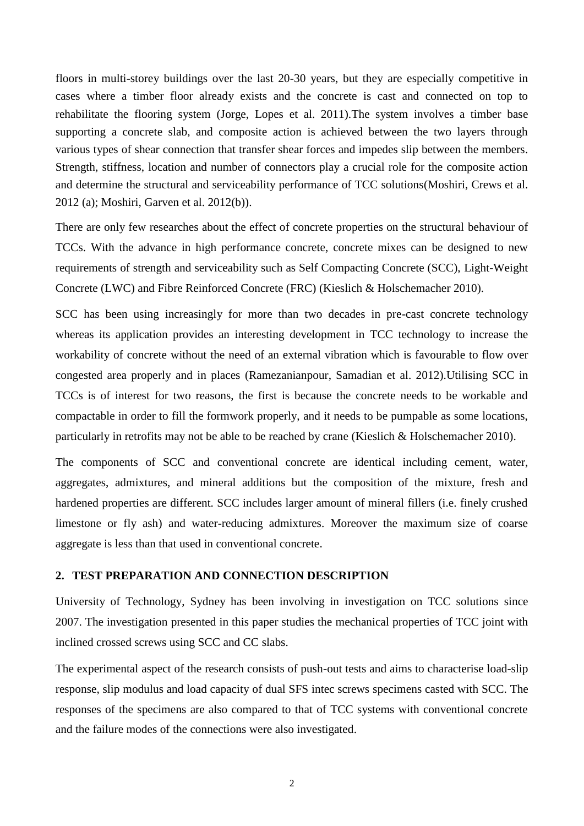floors in multi-storey buildings over the last 20-30 years, but they are especially competitive in cases where a timber floor already exists and the concrete is cast and connected on top to rehabilitate the flooring system [\(Jorge, Lopes et al. 2011\)](#page-8-0).The system involves a timber base supporting a concrete slab, and composite action is achieved between the two layers through various types of shear connection that transfer shear forces and impedes slip between the members. Strength, stiffness, location and number of connectors play a crucial role for the composite action and determine the structural and serviceability performance of TCC solutions[\(Moshiri, Crews et al.](#page-8-1)  [2012 \(a\);](#page-8-1) [Moshiri, Garven et al. 2012\(b\)\)](#page-8-2).

There are only few researches about the effect of concrete properties on the structural behaviour of TCCs. With the advance in high performance concrete, concrete mixes can be designed to new requirements of strength and serviceability such as Self Compacting Concrete (SCC), Light-Weight Concrete (LWC) and Fibre Reinforced Concrete (FRC) [\(Kieslich & Holschemacher 2010\)](#page-8-3).

SCC has been using increasingly for more than two decades in pre-cast concrete technology whereas its application provides an interesting development in TCC technology to increase the workability of concrete without the need of an external vibration which is favourable to flow over congested area properly and in places [\(Ramezanianpour, Samadian et al. 2012\)](#page-8-4).Utilising SCC in TCCs is of interest for two reasons, the first is because the concrete needs to be workable and compactable in order to fill the formwork properly, and it needs to be pumpable as some locations, particularly in retrofits may not be able to be reached by crane [\(Kieslich & Holschemacher 2010\)](#page-8-3).

The components of SCC and conventional concrete are identical including cement, water, aggregates, admixtures, and mineral additions but the composition of the mixture, fresh and hardened properties are different. SCC includes larger amount of mineral fillers (i.e. finely crushed limestone or fly ash) and water-reducing admixtures. Moreover the maximum size of coarse aggregate is less than that used in conventional concrete.

## **2. TEST PREPARATION AND CONNECTION DESCRIPTION**

University of Technology, Sydney has been involving in investigation on TCC solutions since 2007. The investigation presented in this paper studies the mechanical properties of TCC joint with inclined crossed screws using SCC and CC slabs.

The experimental aspect of the research consists of push-out tests and aims to characterise load-slip response, slip modulus and load capacity of dual SFS intec screws specimens casted with SCC. The responses of the specimens are also compared to that of TCC systems with conventional concrete and the failure modes of the connections were also investigated.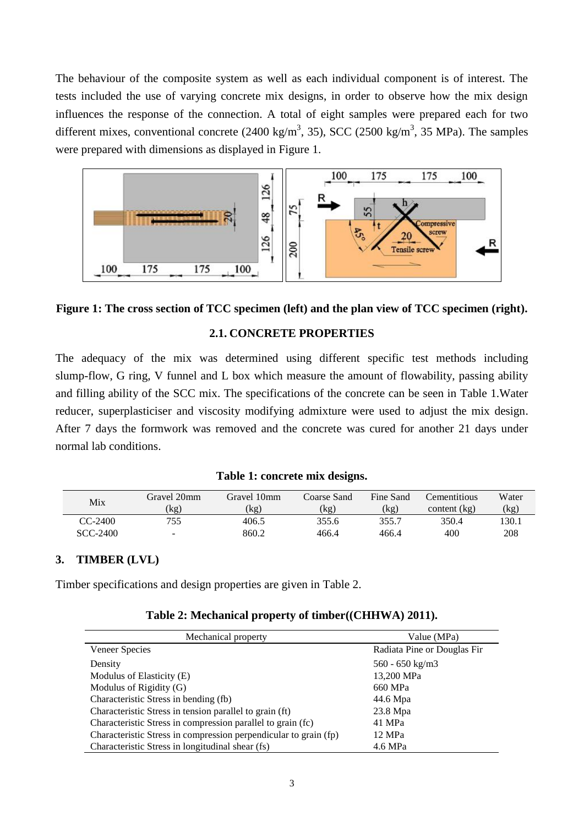The behaviour of the composite system as well as each individual component is of interest. The tests included the use of varying concrete mix designs, in order to observe how the mix design influences the response of the connection. A total of eight samples were prepared each for two different mixes, conventional concrete (2400 kg/m<sup>3</sup>, 35), SCC (2500 kg/m<sup>3</sup>, 35 MPa). The samples were prepared with dimensions as displayed in [Figure 1.](#page-3-0)



<span id="page-3-0"></span>**Figure 1: The cross section of TCC specimen (left) and the plan view of TCC specimen (right).**

## **2.1. CONCRETE PROPERTIES**

The adequacy of the mix was determined using different specific test methods including slump-flow, G ring, V funnel and L box which measure the amount of flowability, passing ability and filling ability of the SCC mix. The specifications of the concrete can be seen in [Table 1.](#page-3-1)Water reducer, superplasticiser and viscosity modifying admixture were used to adjust the mix design. After 7 days the formwork was removed and the concrete was cured for another 21 days under normal lab conditions.

|  | Table 1: concrete mix designs. |  |
|--|--------------------------------|--|
|  |                                |  |

<span id="page-3-1"></span>

| Mix       | Gravel 20mm | Gravel 10mm | Coarse Sand | Fine Sand | Cementitious   | Water |
|-----------|-------------|-------------|-------------|-----------|----------------|-------|
|           | (kg)        | (kg)        | (kg)        | (kg)      | content $(kg)$ | (kg)  |
| $CC-2400$ | 755         | 406.5       | 355.6       | 355.7     | 350.4          | 130.1 |
| SCC-2400  | -           | 860.2       | 466.4       | 466.4     | 400            | 208   |

### **3. TIMBER (LVL)**

<span id="page-3-2"></span>Timber specifications and design properties are given in [Table 2.](#page-3-2)

| Mechanical property                                              | Value (MPa)                 |  |  |
|------------------------------------------------------------------|-----------------------------|--|--|
| Veneer Species                                                   | Radiata Pine or Douglas Fir |  |  |
| Density                                                          | $560 - 650 \text{ kg/m}$    |  |  |
| Modulus of Elasticity (E)                                        | 13,200 MPa                  |  |  |
| Modulus of Rigidity (G)                                          | 660 MPa                     |  |  |
| Characteristic Stress in bending (fb)                            | 44.6 Mpa                    |  |  |
| Characteristic Stress in tension parallel to grain (ft)          | $23.8$ Mpa                  |  |  |
| Characteristic Stress in compression parallel to grain (fc)      | 41 MPa                      |  |  |
| Characteristic Stress in compression perpendicular to grain (fp) | 12 MPa                      |  |  |
| Characteristic Stress in longitudinal shear (fs)                 | 4.6 MPa                     |  |  |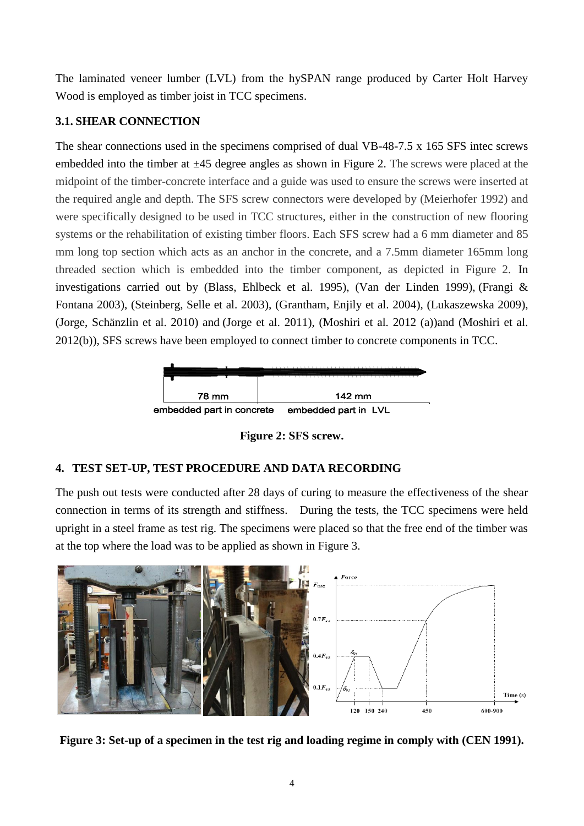The laminated veneer lumber (LVL) from the hySPAN range produced by Carter Holt Harvey Wood is employed as timber joist in TCC specimens.

## **3.1. SHEAR CONNECTION**

The shear connections used in the specimens comprised of dual VB-48-7.5 x 165 SFS intec screws embedded into the timber at  $\pm 45$  degree angles as shown i[n Figure 2](#page-4-0). The screws were placed at the midpoint of the timber-concrete interface and a guide was used to ensure the screws were inserted at the required angle and depth. The SFS screw connectors were developed by [\(Meierhofer 1992\)](#page-8-6) and were specifically designed to be used in TCC structures, either in the construction of new flooring systems or the rehabilitation of existing timber floors. Each SFS screw had a 6 mm diameter and 85 mm long top section which acts as an anchor in the concrete, and a 7.5mm diameter 165mm long threaded section which is embedded into the timber component, as depicted in [Figure 2.](#page-4-0) In investigations carried out by [\(Blass, Ehlbeck et al. 1995\)](#page-8-7), [\(Van der Linden 1999\)](#page-8-8), [\(Frangi &](#page-8-9)  [Fontana 2003\)](#page-8-9), [\(Steinberg, Selle et al. 2003\)](#page-8-10), [\(Grantham, Enjily et al. 2004\)](#page-8-11), [\(Lukaszewska 2009\)](#page-8-12), [\(Jorge, Schänzlin et al. 2010\)](#page-8-13) and [\(Jorge et al. 2011\)](#page-8-0), [\(Moshiri et al. 2012 \(a\)\)](#page-8-1)and [\(Moshiri et al.](#page-8-2)  [2012\(b\)\)](#page-8-2), SFS screws have been employed to connect timber to concrete components in TCC.



**Figure 2: SFS screw.**

# <span id="page-4-0"></span>**4. TEST SET-UP, TEST PROCEDURE AND DATA RECORDING**

The push out tests were conducted after 28 days of curing to measure the effectiveness of the shear connection in terms of its strength and stiffness. During the tests, the TCC specimens were held upright in a steel frame as test rig. The specimens were placed so that the free end of the timber was at the top where the load was to be applied as shown in [Figure 3.](#page-4-1)



<span id="page-4-1"></span>**Figure 3: Set-up of a specimen in the test rig and loading regime in comply with [\(CEN 1991\)](#page-8-14).**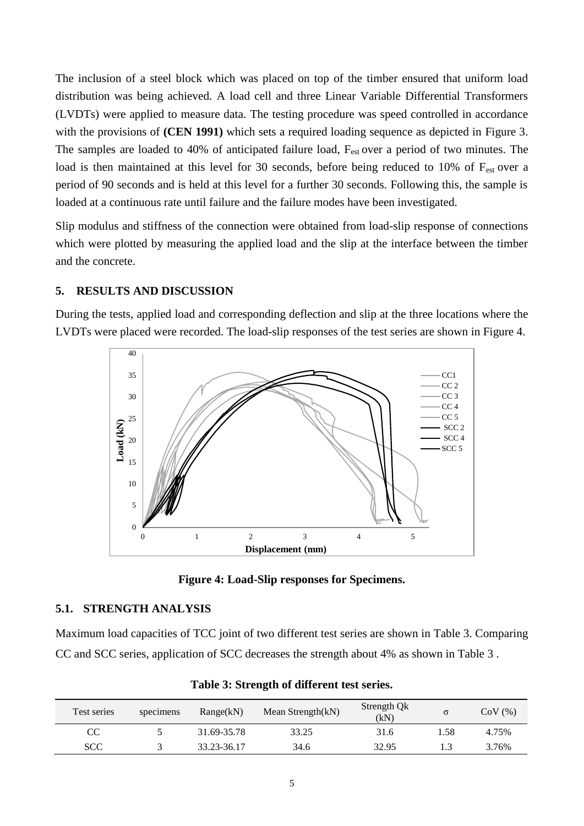The inclusion of a steel block which was placed on top of the timber ensured that uniform load distribution was being achieved. A load cell and three Linear Variable Differential Transformers (LVDTs) were applied to measure data. The testing procedure was speed controlled in accordance with the provisions of **[\(CEN 1991\)](#page-8-14)** which sets a required loading sequence as depicted in [Figure 3.](#page-4-1) The samples are loaded to 40% of anticipated failure load, F<sub>est</sub> over a period of two minutes. The load is then maintained at this level for 30 seconds, before being reduced to 10% of  $F_{est}$  over a period of 90 seconds and is held at this level for a further 30 seconds. Following this, the sample is loaded at a continuous rate until failure and the failure modes have been investigated.

Slip modulus and stiffness of the connection were obtained from load-slip response of connections which were plotted by measuring the applied load and the slip at the interface between the timber and the concrete.

## **5. RESULTS AND DISCUSSION**

During the tests, applied load and corresponding deflection and slip at the three locations where the LVDTs were placed were recorded. The load-slip responses of the test series are shown in [Figure 4.](#page-5-0)



**Figure 4: Load-Slip responses for Specimens.**

## <span id="page-5-0"></span>**5.1. STRENGTH ANALYSIS**

Maximum load capacities of TCC joint of two different test series are shown in [Table 3.](#page-5-1) Comparing CC and SCC series, application of SCC decreases the strength about 4% as shown in [Table 3](#page-5-1) .

<span id="page-5-1"></span>

| Test series | specimens | Range(kN)   | Mean Strength(kN) | Strength Qk<br>(kN) | σ     | $CoV$ $(\%)$ |
|-------------|-----------|-------------|-------------------|---------------------|-------|--------------|
| CC          |           | 31.69-35.78 | 33.25             | 31.6                | . .58 | 4.75%        |
| <b>SCC</b>  |           | 33.23-36.17 | 34.6              | 32.95               |       | 3.76%        |

**Table 3: Strength of different test series.**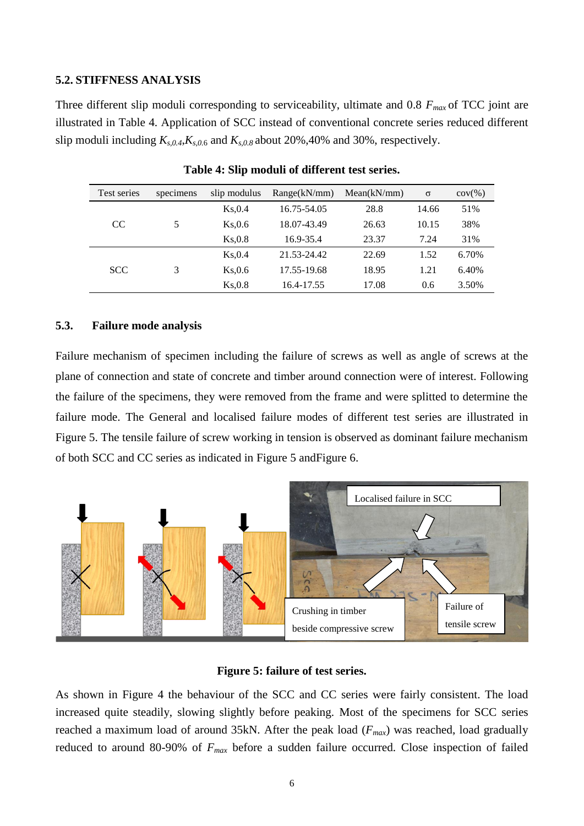#### **5.2. STIFFNESS ANALYSIS**

Three different slip moduli corresponding to serviceability, ultimate and 0.8 *Fmax* of TCC joint are illustrated in [Table 4.](#page-6-0) Application of SCC instead of conventional concrete series reduced different slip moduli including *Ks,0.4*,*Ks,0.*<sup>6</sup> and *Ks,0.8* about 20%,40% and 30%, respectively.

<span id="page-6-0"></span>

| Test series   | specimens | slip modulus | Range(kN/mm) | Mean(kN/mm) | $\sigma$ | $cov(\% )$ |
|---------------|-----------|--------------|--------------|-------------|----------|------------|
| <sub>CC</sub> | 5         | Ks, 0.4      | 16.75-54.05  | 28.8        | 14.66    | 51%        |
|               |           | Ks, 0.6      | 18.07-43.49  | 26.63       | 10.15    | 38%        |
|               |           | Ks, 0.8      | 16.9-35.4    | 23.37       | 7.24     | 31%        |
| <b>SCC</b>    | 3         | Ks.0.4       | 21.53-24.42  | 22.69       | 1.52     | 6.70%      |
|               |           | Ks, 0.6      | 17.55-19.68  | 18.95       | 1.21     | 6.40%      |
|               |           | Ks, 0.8      | 16.4-17.55   | 17.08       | 0.6      | 3.50%      |

**Table 4: Slip moduli of different test series.**

#### **5.3. Failure mode analysis**

Failure mechanism of specimen including the failure of screws as well as angle of screws at the plane of connection and state of concrete and timber around connection were of interest. Following the failure of the specimens, they were removed from the frame and were splitted to determine the failure mode. The General and localised failure modes of different test series are illustrated in [Figure 5.](#page-6-1) The tensile failure of screw working in tension is observed as dominant failure mechanism of both SCC and CC series as indicated in [Figure 5](#page-6-1) an[dFigure 6.](#page-7-0)



#### **Figure 5: failure of test series.**

<span id="page-6-1"></span>As shown in [Figure 4](#page-5-0) the behaviour of the SCC and CC series were fairly consistent. The load increased quite steadily, slowing slightly before peaking. Most of the specimens for SCC series reached a maximum load of around 35kN. After the peak load (*Fmax*) was reached, load gradually reduced to around 80-90% of *Fmax* before a sudden failure occurred. Close inspection of failed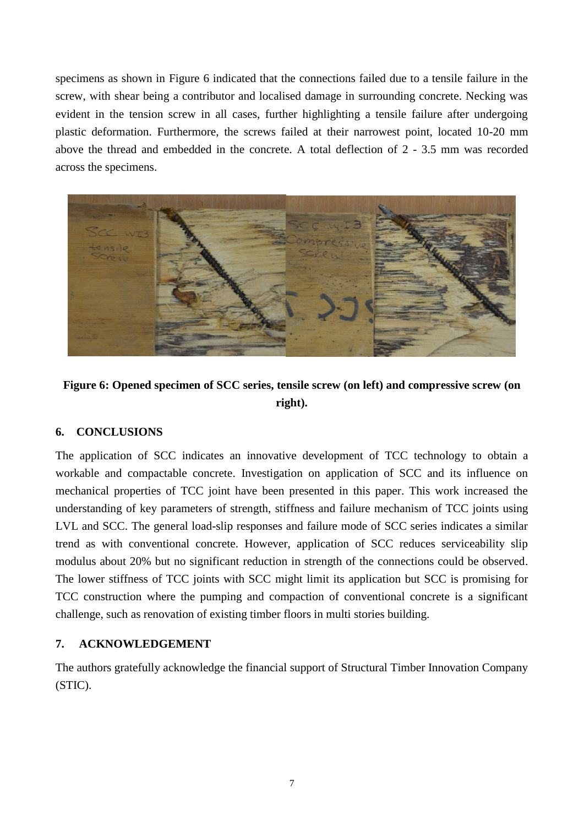specimens as shown in [Figure 6](#page-7-0) indicated that the connections failed due to a tensile failure in the screw, with shear being a contributor and localised damage in surrounding concrete. Necking was evident in the tension screw in all cases, further highlighting a tensile failure after undergoing plastic deformation. Furthermore, the screws failed at their narrowest point, located 10-20 mm above the thread and embedded in the concrete. A total deflection of 2 - 3.5 mm was recorded across the specimens.



# <span id="page-7-0"></span>**Figure 6: Opened specimen of SCC series, tensile screw (on left) and compressive screw (on right).**

# **6. CONCLUSIONS**

The application of SCC indicates an innovative development of TCC technology to obtain a workable and compactable concrete. Investigation on application of SCC and its influence on mechanical properties of TCC joint have been presented in this paper. This work increased the understanding of key parameters of strength, stiffness and failure mechanism of TCC joints using LVL and SCC. The general load-slip responses and failure mode of SCC series indicates a similar trend as with conventional concrete. However, application of SCC reduces serviceability slip modulus about 20% but no significant reduction in strength of the connections could be observed. The lower stiffness of TCC joints with SCC might limit its application but SCC is promising for TCC construction where the pumping and compaction of conventional concrete is a significant challenge, such as renovation of existing timber floors in multi stories building.

# **7. ACKNOWLEDGEMENT**

The authors gratefully acknowledge the financial support of Structural Timber Innovation Company (STIC).